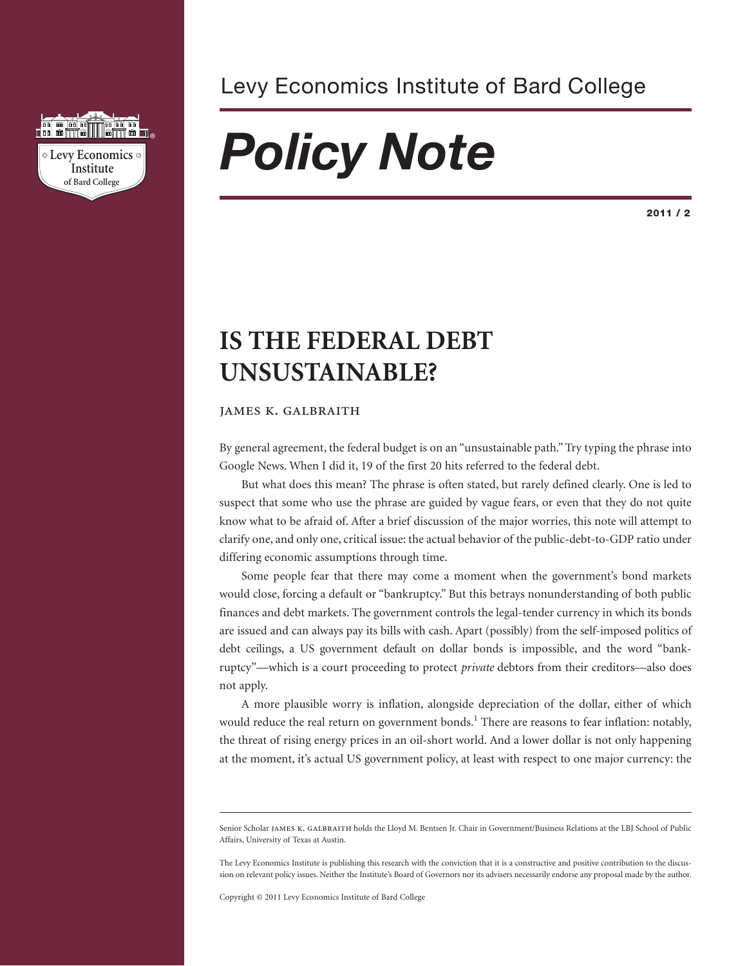

### Levy Economics Institute of Bard College

# *Policy Note*

**2011 / 2**

## **IS THE FEDERAL DEBT UNSUSTAINABLE?**

#### **JAMES K. GALBRAITH**

By general agreement, the federal budget is on an "unsustainable path." Try typing the phrase into Google News. When I did it, 19 of the first 20 hits referred to the federal debt.

But what does this mean? The phrase is often stated, but rarely defined clearly. One is led to suspect that some who use the phrase are guided by vague fears, or even that they do not quite know what to be afraid of. After a brief discussion of the major worries, this note will attempt to clarify one, and only one, critical issue: the actual behavior of the public-debt-to-GDP ratio under differing economic assumptions through time.

Some people fear that there may come a moment when the government's bond markets would close, forcing a default or "bankruptcy." But this betrays nonunderstanding of both public finances and debt markets. The government controls the legal-tender currency in which its bonds are issued and can always pay its bills with cash. Apart (possibly) from the self-imposed politics of debt ceilings, a US government default on dollar bonds is impossible, and the word "bankruptcy"—which is a court proceeding to protect *private* debtors from their creditors—also does not apply.

A more plausible worry is inflation, alongside depreciation of the dollar, either of which would reduce the real return on government bonds.<sup>1</sup> There are reasons to fear inflation: notably, the threat of rising energy prices in an oil-short world. And a lower dollar is not only happening at the moment, it's actual US government policy, at least with respect to one major currency: the

Copyright © 2011 Levy Economics Institute of Bard College

Senior Scholar JAMES K. GALBRAITH holds the Lloyd M. Bentsen Jr. Chair in Government/Business Relations at the LBJ School of Public Affairs, University of Texas at Austin.

The Levy Economics Institute is publishing this research with the conviction that it is a constructive and positive contribution to the discussion on relevant policy issues. Neither the Institute's Board of Governors nor its advisers necessarily endorse any proposal made by the author.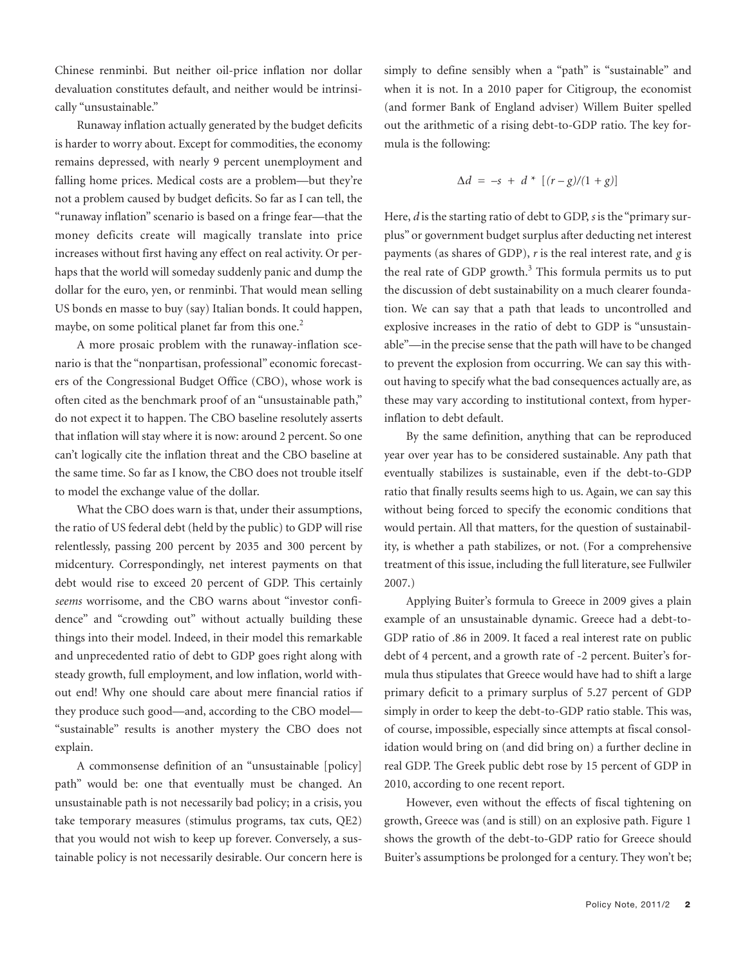Chinese renminbi. But neither oil-price inflation nor dollar devaluation constitutes default, and neither would be intrinsically "unsustainable."

Runaway inflation actually generated by the budget deficits is harder to worry about. Except for commodities, the economy remains depressed, with nearly 9 percent unemployment and falling home prices. Medical costs are a problem—but they're not a problem caused by budget deficits. So far as I can tell, the "runaway inflation" scenario is based on a fringe fear—that the money deficits create will magically translate into price increases without first having any effect on real activity. Or perhaps that the world will someday suddenly panic and dump the dollar for the euro, yen, or renminbi. That would mean selling US bonds en masse to buy (say) Italian bonds. It could happen, maybe, on some political planet far from this one. 2

A more prosaic problem with the runaway-inflation scenario is that the "nonpartisan, professional" economic forecasters of the Congressional Budget Office (CBO), whose work is often cited as the benchmark proof of an "unsustainable path," do not expect it to happen. The CBO baseline resolutely asserts that inflation will stay where it is now: around 2 percent. So one can't logically cite the inflation threat and the CBO baseline at the same time. So far as I know, the CBO does not trouble itself to model the exchange value of the dollar.

What the CBO does warn is that, under their assumptions, the ratio of US federal debt (held by the public) to GDP will rise relentlessly, passing 200 percent by 2035 and 300 percent by midcentury. Correspondingly, net interest payments on that debt would rise to exceed 20 percent of GDP. This certainly *seems* worrisome, and the CBO warns about "investor confidence" and "crowding out" without actually building these things into their model. Indeed, in their model this remarkable and unprecedented ratio of debt to GDP goes right along with steady growth, full employment, and low inflation, world without end! Why one should care about mere financial ratios if they produce such good—and, according to the CBO model— "sustainable" results is another mystery the CBO does not explain.

A commonsense definition of an "unsustainable [policy] path" would be: one that eventually must be changed. An unsustainable path is not necessarily bad policy; in a crisis, you take temporary measures (stimulus programs, tax cuts, QE2) that you would not wish to keep up forever. Conversely, a sustainable policy is not necessarily desirable. Our concern here is simply to define sensibly when a "path" is "sustainable" and when it is not. In a 2010 paper for Citigroup, the economist (and former Bank of England adviser) Willem Buiter spelled out the arithmetic of a rising debt-to-GDP ratio. The key formula is the following:

$$
\Delta d = -s + d * [(r - g)/(1 + g)]
$$

Here, *d* is the starting ratio of debt to GDP, *s* is the "primary surplus" or government budget surplus after deducting net interest payments (as shares of GDP), *r* is the real interest rate, and *g* is the real rate of GDP growth.<sup>3</sup> This formula permits us to put the discussion of debt sustainability on a much clearer foundation. We can say that a path that leads to uncontrolled and explosive increases in the ratio of debt to GDP is "unsustainable"—in the precise sense that the path will have to be changed to prevent the explosion from occurring. We can say this without having to specify what the bad consequences actually are, as these may vary according to institutional context, from hyperinflation to debt default.

By the same definition, anything that can be reproduced year over year has to be considered sustainable. Any path that eventually stabilizes is sustainable, even if the debt-to-GDP ratio that finally results seems high to us. Again, we can say this without being forced to specify the economic conditions that would pertain. All that matters, for the question of sustainability, is whether a path stabilizes, or not. (For a comprehensive treatment of this issue, including the full literature, see Fullwiler 2007.)

Applying Buiter's formula to Greece in 2009 gives a plain example of an unsustainable dynamic. Greece had a debt-to-GDP ratio of .86 in 2009. It faced a real interest rate on public debt of 4 percent, and a growth rate of -2 percent. Buiter's formula thus stipulates that Greece would have had to shift a large primary deficit to a primary surplus of 5.27 percent of GDP simply in order to keep the debt-to-GDP ratio stable. This was, of course, impossible, especially since attempts at fiscal consolidation would bring on (and did bring on) a further decline in real GDP. The Greek public debt rose by 15 percent of GDP in 2010, according to one recent report.

However, even without the effects of fiscal tightening on growth, Greece was (and is still) on an explosive path. Figure 1 shows the growth of the debt-to-GDP ratio for Greece should Buiter's assumptions be prolonged for a century. They won't be;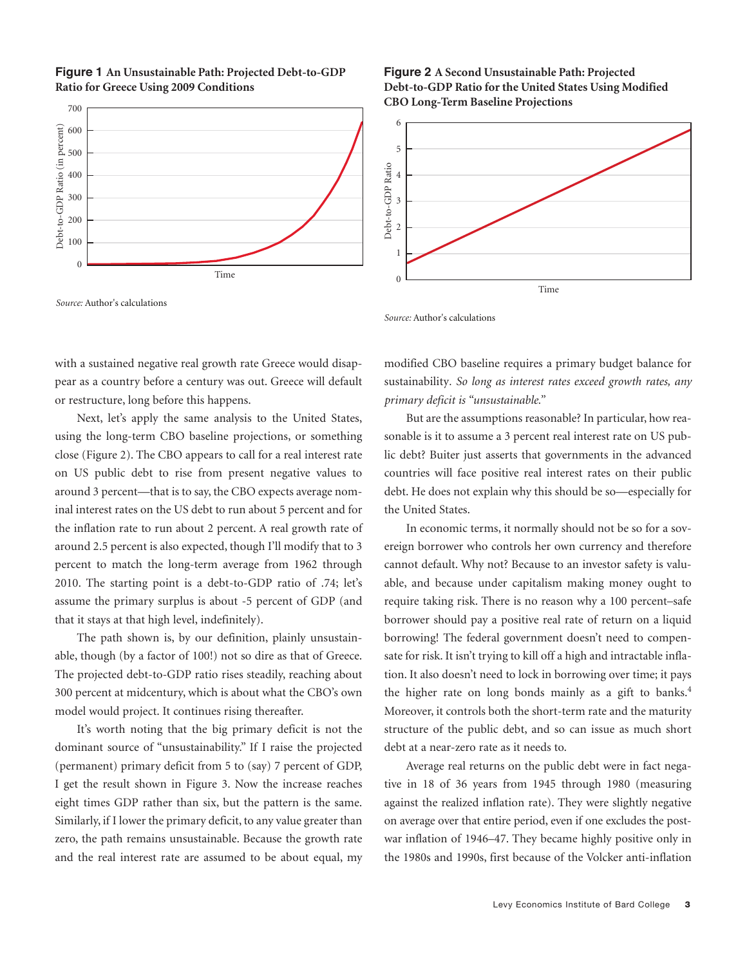

#### **Figure 1 An Unsustainable Path: Projected Debt-to-GDP Ratio for Greece Using 2009 Conditions**

*Source:* Author's calculations

*Source:* Author's calculations

 $\Omega$ 

6

with a sustained negative real growth rate Greece would disappear as a country before a century was out. Greece will default or restructure, long before this happens.

Next, let's apply the same analysis to the United States, using the long-term CBO baseline projections, or something close (Figure 2). The CBO appears to call for a real interest rate on US public debt to rise from present negative values to around 3 percent—that is to say, the CBO expects average nominal interest rates on the US debt to run about 5 percent and for the inflation rate to run about 2 percent. A real growth rate of around 2.5 percent is also expected, though I'll modify that to 3 percent to match the long-term average from 1962 through 2010. The starting point is a debt-to-GDP ratio of .74; let's assume the primary surplus is about -5 percent of GDP (and that it stays at that high level, indefinitely).

The path shown is, by our definition, plainly unsustainable, though (by a factor of 100!) not so dire as that of Greece. The projected debt-to-GDP ratio rises steadily, reaching about 300 percent at midcentury, which is about what the CBO's own model would project. It continues rising thereafter.

It's worth noting that the big primary deficit is not the dominant source of "unsustainability." If I raise the projected (permanent) primary deficit from 5 to (say) 7 percent of GDP, I get the result shown in Figure 3. Now the increase reaches eight times GDP rather than six, but the pattern is the same. Similarly, if I lower the primary deficit, to any value greater than zero, the path remains unsustainable. Because the growth rate and the real interest rate are assumed to be about equal, my

#### modified CBO baseline requires a primary budget balance for sustainability*. So long as interest rates exceed growth rates, any primary deficit is "unsustainable."*

But are the assumptions reasonable? In particular, how reasonable is it to assume a 3 percent real interest rate on US public debt? Buiter just asserts that governments in the advanced countries will face positive real interest rates on their public debt. He does not explain why this should be so—especially for the United States.

In economic terms, it normally should not be so for a sovereign borrower who controls her own currency and therefore cannot default. Why not? Because to an investor safety is valuable, and because under capitalism making money ought to require taking risk. There is no reason why a 100 percent–safe borrower should pay a positive real rate of return on a liquid borrowing! The federal government doesn't need to compensate for risk. It isn't trying to kill off a high and intractable inflation. It also doesn't need to lock in borrowing over time; it pays the higher rate on long bonds mainly as a gift to banks. 4 Moreover, it controls both the short-term rate and the maturity structure of the public debt, and so can issue as much short debt at a near-zero rate as it needs to.

Average real returns on the public debt were in fact negative in 18 of 36 years from 1945 through 1980 (measuring against the realized inflation rate). They were slightly negative on average over that entire period, even if one excludes the postwar inflation of 1946–47. They became highly positive only in the 1980s and 1990s, first because of the Volcker anti-inflation



Time

**Figure 2 A Second Unsustainable Path: Projected Debt-to-GDP Ratio for the United States Using Modified**

**CBO Long-Term Baseline Projections**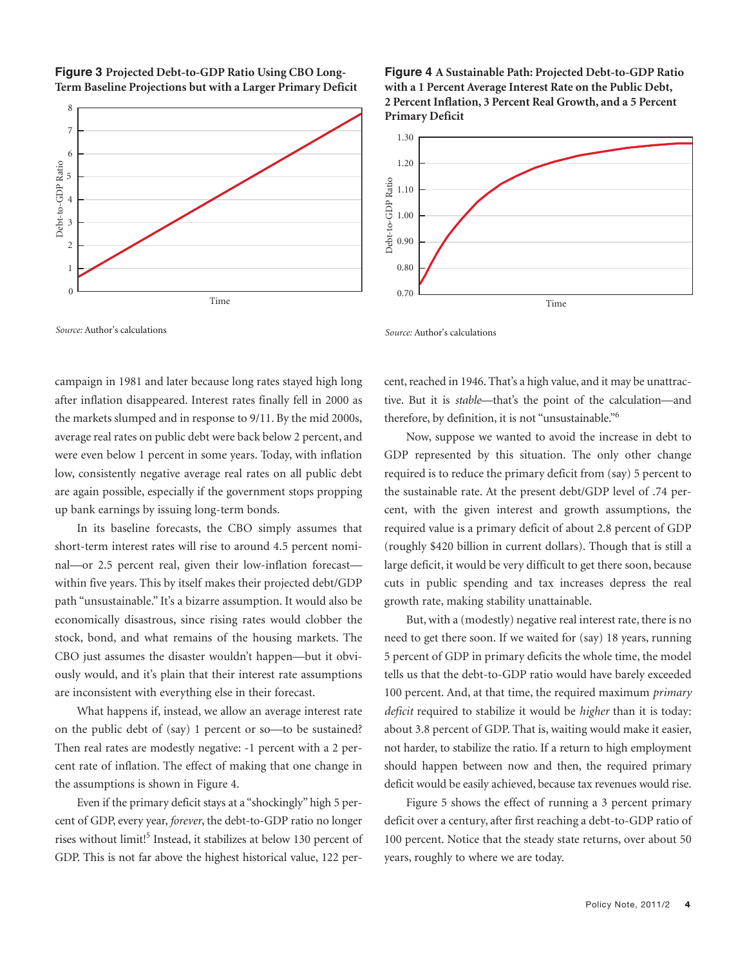

**Figure 3 Projected Debt-to-GDP Ratio Using CBO Long-Term Baseline Projections but with a Larger Primary Deficit**

*Source:* Author's calculations

**Figure 4 A Sustainable Path: Projected Debt-to-GDP Ratio with a 1 Percent Average Interest Rate on the Public Debt, 2 Percent Inflation, 3 Percent Real Growth, and a 5 Percent Primary Deficit**



*Source:* Author's calculations

campaign in 1981 and later because long rates stayed high long after inflation disappeared. Interest rates finally fell in 2000 as the markets slumped and in response to 9/11. By the mid 2000s, average real rates on public debt were back below 2 percent, and were even below 1 percent in some years. Today, with inflation low, consistently negative average real rates on all public debt are again possible, especially if the government stops propping up bank earnings by issuing long-term bonds.

In its baseline forecasts, the CBO simply assumes that short-term interest rates will rise to around 4.5 percent nominal—or 2.5 percent real, given their low-inflation forecast within five years. This by itself makes their projected debt/GDP path "unsustainable." It's a bizarre assumption. It would also be economically disastrous, since rising rates would clobber the stock, bond, and what remains of the housing markets. The CBO just assumes the disaster wouldn't happen—but it obviously would, and it's plain that their interest rate assumptions are inconsistent with everything else in their forecast.

What happens if, instead, we allow an average interest rate on the public debt of (say) 1 percent or so—to be sustained? Then real rates are modestly negative: -1 percent with a 2 percent rate of inflation. The effect of making that one change in the assumptions is shown in Figure 4.

Even if the primary deficit stays at a "shockingly" high 5 percent of GDP, every year, *forever*, the debt-to-GDP ratio no longer rises without limit!<sup>5</sup> Instead, it stabilizes at below 130 percent of GDP. This is not far above the highest historical value, 122 percent, reached in 1946. That's a high value, and it may be unattractive. But it is *stable*—that's the point of the calculation—and therefore, by definition, it is not "unsustainable."6

Now, suppose we wanted to avoid the increase in debt to GDP represented by this situation. The only other change required is to reduce the primary deficit from (say) 5 percent to the sustainable rate. At the present debt/GDP level of .74 percent, with the given interest and growth assumptions, the required value is a primary deficit of about 2.8 percent of GDP (roughly \$420 billion in current dollars). Though that is still a large deficit, it would be very difficult to get there soon, because cuts in public spending and tax increases depress the real growth rate, making stability unattainable.

But, with a (modestly) negative real interest rate, there is no need to get there soon. If we waited for (say) 18 years, running 5 percent of GDP in primary deficits the whole time, the model tells us that the debt-to-GDP ratio would have barely exceeded 100 percent. And, at that time, the required maximum *primary deficit* required to stabilize it would be *higher* than it is today: about 3.8 percent of GDP. That is, waiting would make it easier, not harder, to stabilize the ratio. If a return to high employment should happen between now and then, the required primary deficit would be easily achieved, because tax revenues would rise.

Figure 5 shows the effect of running a 3 percent primary deficit over a century, after first reaching a debt-to-GDP ratio of 100 percent. Notice that the steady state returns, over about 50 years, roughly to where we are today.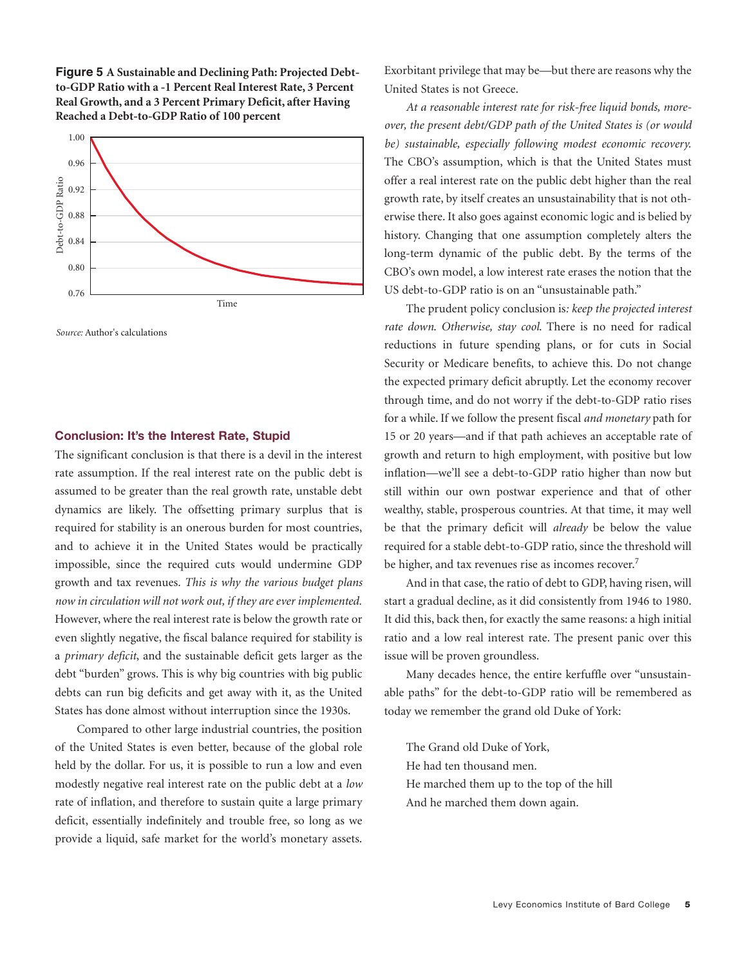



*Source:* Author's calculations

#### **Conclusion: It's the Interest Rate, Stupid**

The significant conclusion is that there is a devil in the interest rate assumption. If the real interest rate on the public debt is assumed to be greater than the real growth rate, unstable debt dynamics are likely. The offsetting primary surplus that is required for stability is an onerous burden for most countries, and to achieve it in the United States would be practically impossible, since the required cuts would undermine GDP growth and tax revenues. *This is why the various budget plans now in circulation will not work out, if they are ever implemented.* However, where the real interest rate is below the growth rate or even slightly negative, the fiscal balance required for stability is a *primary deficit*, and the sustainable deficit gets larger as the debt "burden" grows. This is why big countries with big public debts can run big deficits and get away with it, as the United States has done almost without interruption since the 1930s.

Compared to other large industrial countries, the position of the United States is even better, because of the global role held by the dollar. For us, it is possible to run a low and even modestly negative real interest rate on the public debt at a *low* rate of inflation, and therefore to sustain quite a large primary deficit, essentially indefinitely and trouble free, so long as we provide a liquid, safe market for the world's monetary assets.

Exorbitant privilege that may be—but there are reasons why the United States is not Greece.

*At a reasonable interest rate for risk-free liquid bonds, moreover, the present debt/GDP path of the United States is (or would be) sustainable, especially following modest economic recovery.* The CBO's assumption, which is that the United States must offer a real interest rate on the public debt higher than the real growth rate, by itself creates an unsustainability that is not otherwise there. It also goes against economic logic and is belied by history. Changing that one assumption completely alters the long-term dynamic of the public debt. By the terms of the CBO's own model, a low interest rate erases the notion that the US debt-to-GDP ratio is on an "unsustainable path."

The prudent policy conclusion is*: keep the projected interest rate down*. *Otherwise, stay cool*. There is no need for radical reductions in future spending plans, or for cuts in Social Security or Medicare benefits, to achieve this. Do not change the expected primary deficit abruptly. Let the economy recover through time, and do not worry if the debt-to-GDP ratio rises for a while. If we follow the present fiscal *and monetary* path for 15 or 20 years—and if that path achieves an acceptable rate of growth and return to high employment, with positive but low inflation—we'll see a debt-to-GDP ratio higher than now but still within our own postwar experience and that of other wealthy, stable, prosperous countries. At that time, it may well be that the primary deficit will *already* be below the value required for a stable debt-to-GDP ratio, since the threshold will be higher, and tax revenues rise as incomes recover.<sup>7</sup>

And in that case, the ratio of debt to GDP, having risen, will start a gradual decline, as it did consistently from 1946 to 1980. It did this, back then, for exactly the same reasons: a high initial ratio and a low real interest rate. The present panic over this issue will be proven groundless.

Many decades hence, the entire kerfuffle over "unsustainable paths" for the debt-to-GDP ratio will be remembered as today we remember the grand old Duke of York:

The Grand old Duke of York, He had ten thousand men. He marched them up to the top of the hill And he marched them down again.